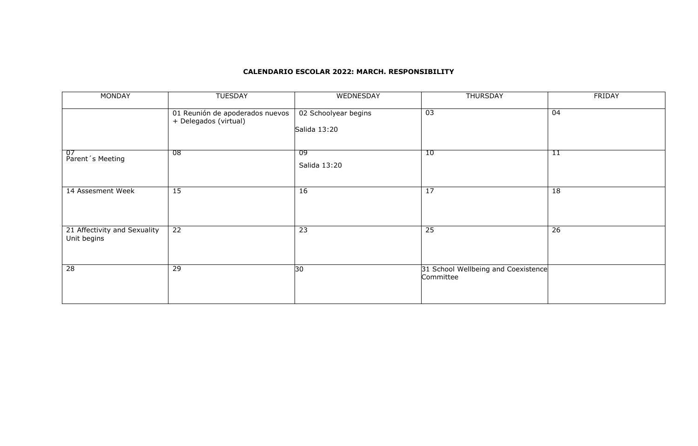#### **CALENDARIO ESCOLAR 2022: MARCH. RESPONSIBILITY**

| <b>MONDAY</b>                               | <b>TUESDAY</b>                                           | WEDNESDAY                            | <b>THURSDAY</b>                                  | <b>FRIDAY</b>   |
|---------------------------------------------|----------------------------------------------------------|--------------------------------------|--------------------------------------------------|-----------------|
|                                             | 01 Reunión de apoderados nuevos<br>+ Delegados (virtual) | 02 Schoolyear begins<br>Salida 13:20 | $\overline{03}$                                  | $\overline{04}$ |
| 07<br>Parent's Meeting                      | 08                                                       | -09<br>Salida 13:20                  | 10                                               | 11              |
| 14 Assesment Week                           | 15                                                       | 16                                   | 17                                               | 18              |
| 21 Affectivity and Sexuality<br>Unit begins | $\overline{22}$                                          | $\overline{23}$                      | $\overline{25}$                                  | $\overline{26}$ |
| $\overline{28}$                             | 29                                                       | 30                                   | 31 School Wellbeing and Coexistence<br>Committee |                 |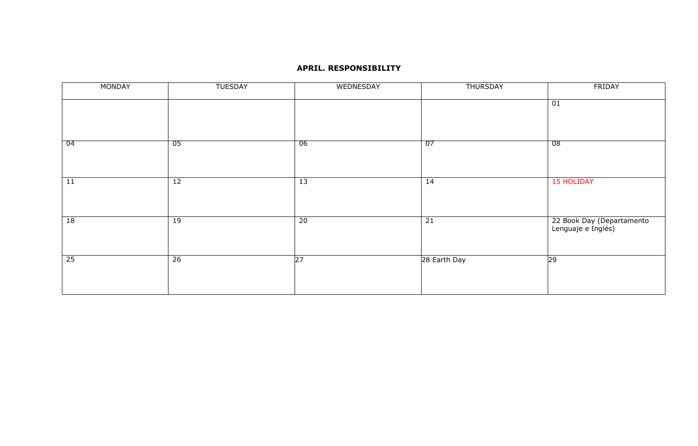### **APRIL. RESPONSIBILITY**

| <b>MONDAY</b> | <b>TUESDAY</b> | WEDNESDAY       | <b>THURSDAY</b> | FRIDAY                                          |
|---------------|----------------|-----------------|-----------------|-------------------------------------------------|
|               |                |                 |                 | 01                                              |
|               |                |                 |                 |                                                 |
| - 04          | 05             | 06              | 07              | 08                                              |
|               |                |                 |                 |                                                 |
| 11            | 12             | 13              | 14              | <b>15 HOLIDAY</b>                               |
|               |                |                 |                 |                                                 |
| 18            | 19             | 20              | 21              | 22 Book Day (Departamento<br>Lenguaje e Inglés) |
|               |                |                 |                 |                                                 |
| 25            | 26             | $\overline{27}$ | 28 Earth Day    | 29                                              |
|               |                |                 |                 |                                                 |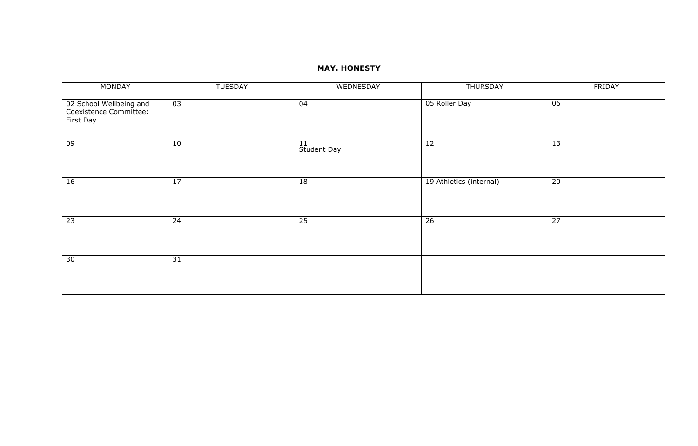# **MAY. HONESTY**

| MONDAY                                                         | <b>TUESDAY</b> | WEDNESDAY         | <b>THURSDAY</b>         | FRIDAY          |
|----------------------------------------------------------------|----------------|-------------------|-------------------------|-----------------|
| 02 School Wellbeing and<br>Coexistence Committee:<br>First Day | 03             | 04                | 05 Roller Day           | 06              |
| 09                                                             | 10             | 11<br>Student Day | 12                      | '13             |
| 16                                                             | 17             | 18                | 19 Athletics (internal) | 20              |
| $\overline{23}$                                                | 24             | $\overline{25}$   | $\overline{26}$         | $\overline{27}$ |
| 30                                                             | 31             |                   |                         |                 |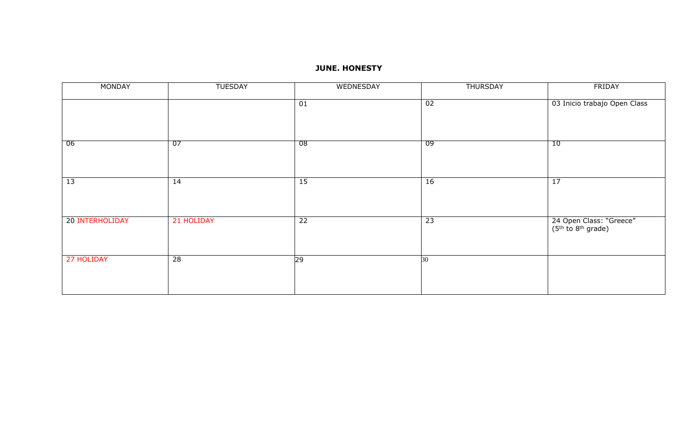# **JUNE. HONESTY**

| <b>MONDAY</b>   | <b>TUESDAY</b> | WEDNESDAY       | <b>THURSDAY</b> | FRIDAY                                                                |
|-----------------|----------------|-----------------|-----------------|-----------------------------------------------------------------------|
|                 |                | 01              | 02              | 03 Inicio trabajo Open Class                                          |
| 06              | 07             | 08              | 09              | 10                                                                    |
|                 |                |                 |                 |                                                                       |
| 13              | 14             | 15              | 16              | 17                                                                    |
|                 |                |                 |                 |                                                                       |
|                 |                |                 |                 |                                                                       |
| 20 INTERHOLIDAY | 21 HOLIDAY     | $\overline{22}$ | $\overline{23}$ | 24 Open Class: "Greece"<br>(5 <sup>th</sup> to 8 <sup>th</sup> grade) |
| 27 HOLIDAY      | 28             | 29              | 30              |                                                                       |
|                 |                |                 |                 |                                                                       |
|                 |                |                 |                 |                                                                       |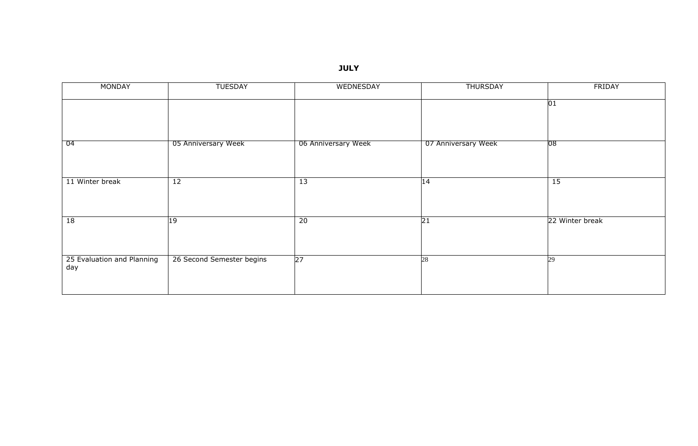**JULY**

| <b>MONDAY</b>                     | <b>TUESDAY</b>            | WEDNESDAY           | <b>THURSDAY</b>     | <b>FRIDAY</b>   |
|-----------------------------------|---------------------------|---------------------|---------------------|-----------------|
|                                   |                           |                     |                     | 01              |
|                                   |                           |                     |                     |                 |
| 04                                | 05 Anniversary Week       | 06 Anniversary Week | 07 Anniversary Week | $ 08\rangle$    |
|                                   |                           |                     |                     |                 |
| 11 Winter break                   | 12                        | 13                  | $\overline{14}$     | 15              |
|                                   |                           |                     |                     |                 |
| 18                                | 19                        | 20                  | $\overline{21}$     | 22 Winter break |
|                                   |                           |                     |                     |                 |
| 25 Evaluation and Planning<br>day | 26 Second Semester begins | $\overline{27}$     | 28                  | 29              |
|                                   |                           |                     |                     |                 |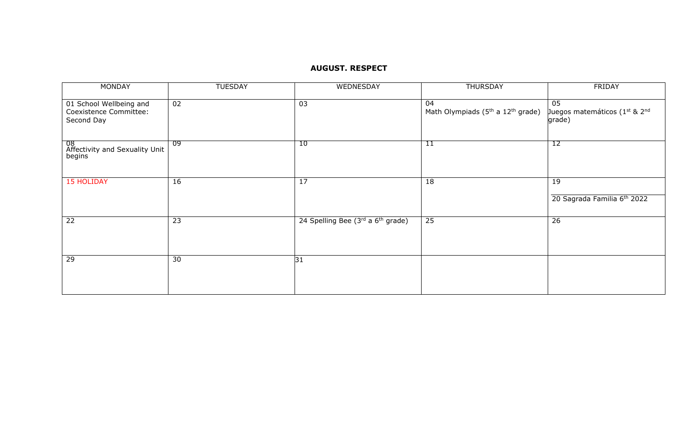## **AUGUST. RESPECT**

| <b>MONDAY</b>                                                   | <b>TUESDAY</b> | WEDNESDAY                                     | <b>THURSDAY</b>                                                 | <b>FRIDAY</b>                                 |
|-----------------------------------------------------------------|----------------|-----------------------------------------------|-----------------------------------------------------------------|-----------------------------------------------|
| 01 School Wellbeing and<br>Coexistence Committee:<br>Second Day | 02             | 03                                            | 04<br>Math Olympiads (5 <sup>th</sup> a 12 <sup>th</sup> grade) | 05<br>Juegos matemáticos (1st & 2nd<br>grade) |
| 08<br>Affectivity and Sexuality Unit<br>begins                  | -09            | 10                                            | 11                                                              | 12                                            |
| <b>15 HOLIDAY</b>                                               | 16             | 17                                            | 18                                                              | 19<br>20 Sagrada Familia 6th 2022             |
|                                                                 |                |                                               |                                                                 |                                               |
| 22                                                              | 23             | 24 Spelling Bee (3rd a 6 <sup>th</sup> grade) | $\overline{25}$                                                 | 26                                            |
| 29                                                              | 30             | 31                                            |                                                                 |                                               |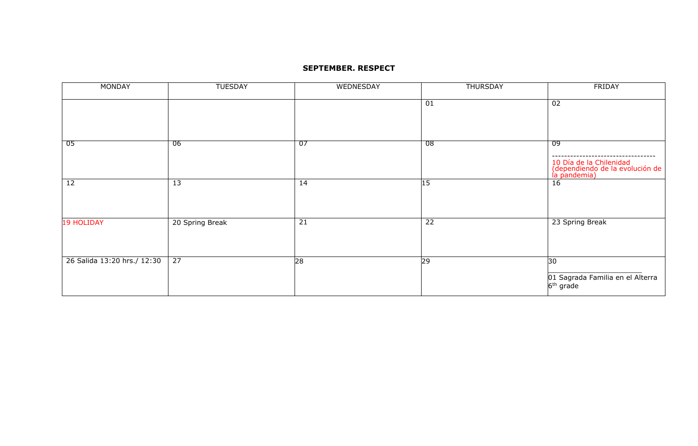#### **SEPTEMBER. RESPECT**

| <b>MONDAY</b>               | <b>TUESDAY</b>  | WEDNESDAY | <b>THURSDAY</b> | <b>FRIDAY</b>                                                                     |
|-----------------------------|-----------------|-----------|-----------------|-----------------------------------------------------------------------------------|
|                             |                 |           | 01              | $\overline{02}$                                                                   |
| 05                          | -06             | 07        | 08              | -09<br>10 Día de la Chilenidad<br>(dependiendo de la evolución de<br>la pandemia) |
| 12                          | $\overline{13}$ | 14        | 15              | 16                                                                                |
| <b>19 HOLIDAY</b>           | 20 Spring Break | 21        | $\overline{22}$ | 23 Spring Break                                                                   |
| 26 Salida 13:20 hrs./ 12:30 | $\overline{27}$ | 28        | 29              | 30<br>01 Sagrada Familia en el Alterra<br>$6th$ grade                             |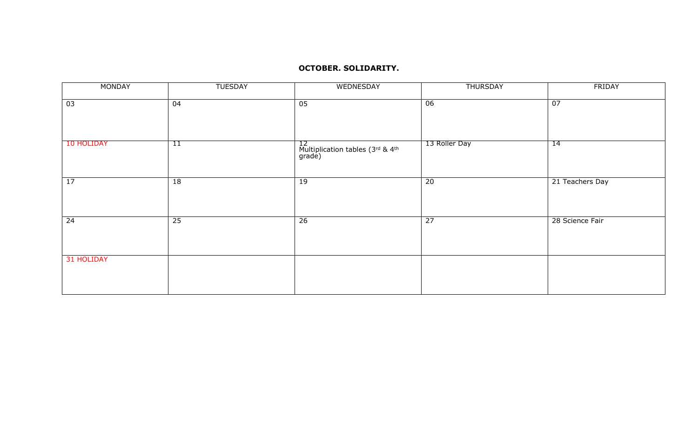#### **OCTOBER. SOLIDARITY.**

| <b>MONDAY</b> | <b>TUESDAY</b> | WEDNESDAY                                                                | <b>THURSDAY</b> | FRIDAY          |
|---------------|----------------|--------------------------------------------------------------------------|-----------------|-----------------|
| 03            | 04             | 05                                                                       | 06              | $\overline{07}$ |
| 10 HOLIDAY    | 11             | 12<br>Multiplication tables (3 <sup>rd</sup> & 4 <sup>th</sup><br>grade) | 13 Roller Day   | 14              |
| 17            | 18             | 19                                                                       | $\overline{20}$ | 21 Teachers Day |
| 24            | 25             | $\overline{26}$                                                          | $\overline{27}$ | 28 Science Fair |
| 31 HOLIDAY    |                |                                                                          |                 |                 |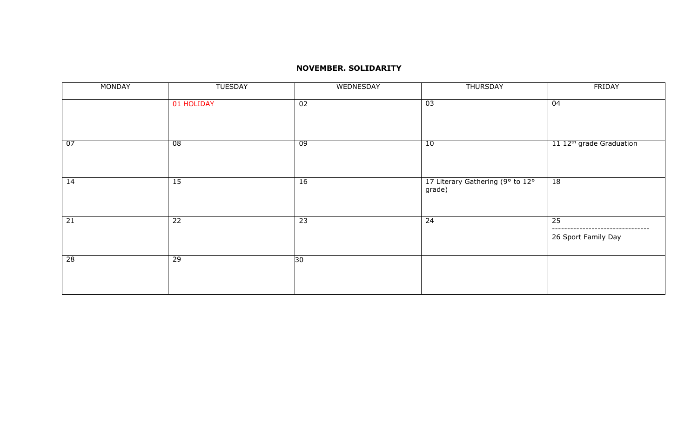### **NOVEMBER. SOLIDARITY**

| MONDAY          | <b>TUESDAY</b>  | WEDNESDAY       | <b>THURSDAY</b>                            | FRIDAY                                 |
|-----------------|-----------------|-----------------|--------------------------------------------|----------------------------------------|
|                 | 01 HOLIDAY      | 02              | 03                                         | 04                                     |
| 07              | 08              | 09              | 10                                         | 11 12 <sup>th</sup> grade Graduation   |
| 14              | 15              | 16              | 17 Literary Gathering (9° to 12°<br>grade) | 18                                     |
| 21              | $\overline{22}$ | $\overline{23}$ | $\overline{24}$                            | $\overline{25}$<br>26 Sport Family Day |
| $\overline{28}$ | 29              | 30              |                                            |                                        |